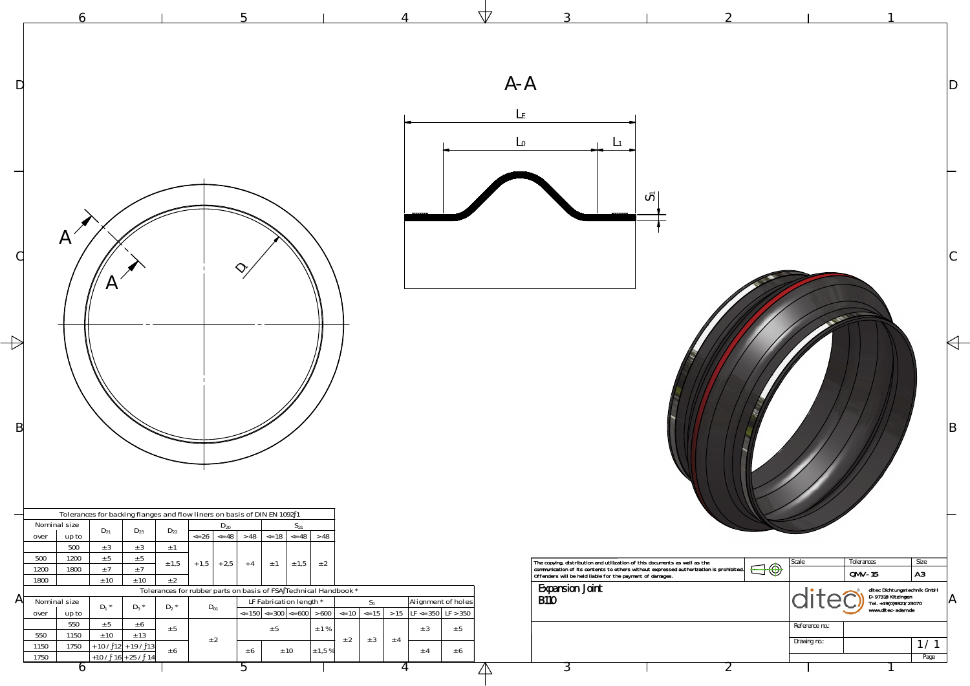



 $\triangle$ 

|   |                                                                                                                                                                                                                                                                                                                                                                                     |                                                                                       | $A - A$                                                                                                                                                                                                                                                                    |                                         |                                                                                                                               |
|---|-------------------------------------------------------------------------------------------------------------------------------------------------------------------------------------------------------------------------------------------------------------------------------------------------------------------------------------------------------------------------------------|---------------------------------------------------------------------------------------|----------------------------------------------------------------------------------------------------------------------------------------------------------------------------------------------------------------------------------------------------------------------------|-----------------------------------------|-------------------------------------------------------------------------------------------------------------------------------|
|   |                                                                                                                                                                                                                                                                                                                                                                                     |                                                                                       | ပြ                                                                                                                                                                                                                                                                         |                                         |                                                                                                                               |
| B |                                                                                                                                                                                                                                                                                                                                                                                     |                                                                                       |                                                                                                                                                                                                                                                                            |                                         |                                                                                                                               |
|   | Tolerances for backing flanges and flow liners on basis of DIN EN 1092 1<br>Nominal size<br>$S_{21}$<br>$D_{20}$<br>$D_{21}$<br>$D_{23}$<br>$D_{22}$<br>$\left  26 \right $ $\left  548 \right $ $\left  248 \right $<br>$\leq$ 18 $\leq$ 48<br>up to<br>over<br>500<br>± 3<br>± 3<br>$\pm$ 1<br>1200<br>± 5<br>500<br>± 5<br>$+1,5$<br>$+2,5$<br>± 1,5<br>$+4$<br>± 1,5<br>$\pm$ 1 | >48<br>± 2                                                                            |                                                                                                                                                                                                                                                                            | Scale                                   | Tolerances<br>Size                                                                                                            |
| A | ±7<br>1200<br>1800<br>±7<br>± 10<br>1800<br>± 10<br>± 2<br>Tolerances for rubber parts on basis of FSA Technical Handbook *<br>LF Fabrication length *<br>Nominal size<br>$D_1$ *<br>$D_3$ *<br>$D_2$ *<br>$D_{01}$<br>$\le$ 150 $\le$ 300 $\le$ = 600 $\ge$ 600 $\le$ = 10 $\le$ = 15<br>over<br>up to<br>550<br>$\pm$ 5<br>± 6                                                    | Alignment of holes<br>$S_1$<br>$> 15$ LF <= 350 LF > 350                              | The copying, distribution and utilization of this documents as well as the<br>communication of its contents to others without expressed authorization is prohibited.<br>Offenders will be held liable for the payment of damages.<br><b>Expansion Joint</b><br><b>B110</b> | $\bigoplus \bigoplus$<br>Reference no.: | $QMV-15$<br>A3<br>ditec Dichtungstechnik GmbH<br>D-97318 Kitzingen<br>Tel. +49(0)9321/23070<br>www.ditec-adam.de<br>$\Lambda$ |
|   | ± 5<br>± 5<br>± 13<br>± 10<br>550<br>1150<br>± 2<br>1750<br>$+ 10 / 12 + 19 / 13$<br>1150<br>± 6<br>± 10<br>± 6<br>$+10/16+25/14$<br>1750<br>$\circ$                                                                                                                                                                                                                                | $\pm$ 1 %<br>± 5<br>± 3<br>± 2<br>± 3<br>± 4<br>$\pm$ 1,5 %<br>± 6<br>± 4<br>$\prime$ |                                                                                                                                                                                                                                                                            | Drawing no.:                            | 1/1<br>Page                                                                                                                   |